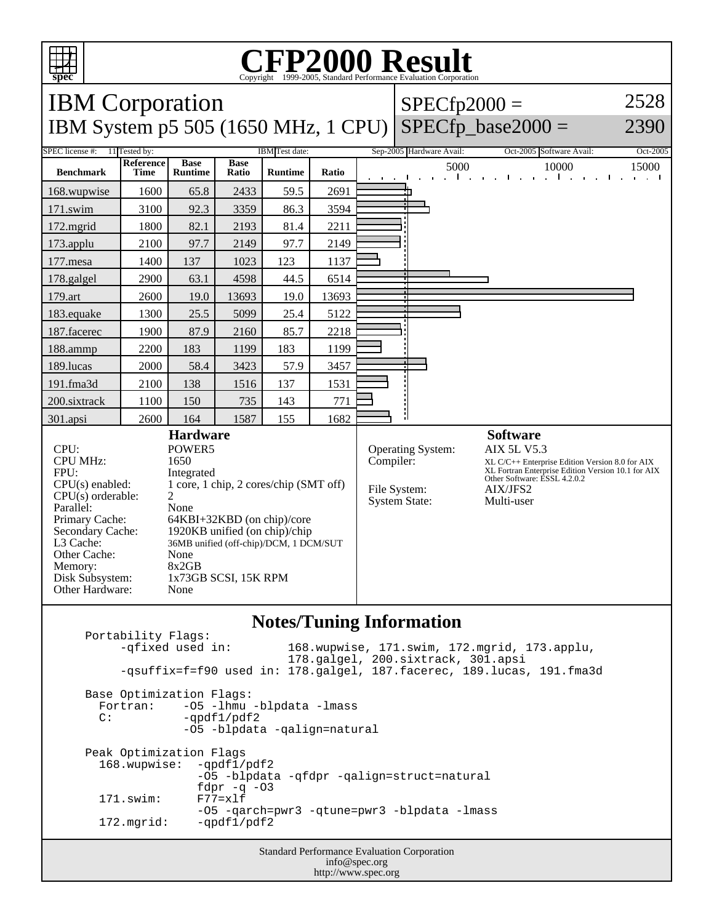

## C<sub>opyright</sub> ©1999-2005, Standard Performance Evaluation Corporation

| <b>IBM</b> Corporation                                                                                                                                                                                                                                                                                                                                                                                                                                                                        |                   |                               |                      |                |           |                                                                  | $SPECfp2000 =$                                                                                                                                                                                           |                                   | 2528     |
|-----------------------------------------------------------------------------------------------------------------------------------------------------------------------------------------------------------------------------------------------------------------------------------------------------------------------------------------------------------------------------------------------------------------------------------------------------------------------------------------------|-------------------|-------------------------------|----------------------|----------------|-----------|------------------------------------------------------------------|----------------------------------------------------------------------------------------------------------------------------------------------------------------------------------------------------------|-----------------------------------|----------|
|                                                                                                                                                                                                                                                                                                                                                                                                                                                                                               |                   |                               |                      |                |           |                                                                  | IBM System p5 505 (1650 MHz, 1 CPU) SPECfp_base2000 =                                                                                                                                                    | 2390                              |          |
| <b>SPEC</b> license #:<br>11 Tested by:<br><b>IBM</b> Test date:                                                                                                                                                                                                                                                                                                                                                                                                                              |                   |                               |                      |                |           |                                                                  | Sep-2005 Hardware Avail:                                                                                                                                                                                 | Oct-2005 Software Avail:          | Oct-2005 |
| <b>Benchmark</b>                                                                                                                                                                                                                                                                                                                                                                                                                                                                              | Reference<br>Time | <b>Base</b><br><b>Runtime</b> | <b>Base</b><br>Ratio | <b>Runtime</b> | Ratio     |                                                                  | 5000<br>$\mathbf{L}$                                                                                                                                                                                     | 10000<br><b>Contract Contract</b> | 15000    |
| 168.wupwise                                                                                                                                                                                                                                                                                                                                                                                                                                                                                   | 1600              | 65.8                          | 2433                 | 59.5           | 2691      |                                                                  |                                                                                                                                                                                                          |                                   |          |
| 171.swim                                                                                                                                                                                                                                                                                                                                                                                                                                                                                      | 3100              | 92.3                          | 3359                 | 86.3           | 3594      |                                                                  |                                                                                                                                                                                                          |                                   |          |
| 172.mgrid                                                                                                                                                                                                                                                                                                                                                                                                                                                                                     | 1800              | 82.1                          | 2193                 | 81.4           | 2211      |                                                                  |                                                                                                                                                                                                          |                                   |          |
| 173.applu                                                                                                                                                                                                                                                                                                                                                                                                                                                                                     | 2100              | 97.7                          | 2149                 | 97.7           | 2149      |                                                                  |                                                                                                                                                                                                          |                                   |          |
| 177.mesa                                                                                                                                                                                                                                                                                                                                                                                                                                                                                      | 1400              | 137                           | 1023                 | 123            | 1137      |                                                                  |                                                                                                                                                                                                          |                                   |          |
| 178.galgel                                                                                                                                                                                                                                                                                                                                                                                                                                                                                    | 2900              | 63.1                          | 4598                 | 44.5           | 6514      |                                                                  |                                                                                                                                                                                                          |                                   |          |
| 179.art                                                                                                                                                                                                                                                                                                                                                                                                                                                                                       | 2600              | 19.0                          | 13693                | 19.0           | 13693     |                                                                  |                                                                                                                                                                                                          |                                   |          |
| 183.equake                                                                                                                                                                                                                                                                                                                                                                                                                                                                                    | 1300              | 25.5                          | 5099                 | 25.4           | 5122      |                                                                  |                                                                                                                                                                                                          |                                   |          |
| 187.facerec                                                                                                                                                                                                                                                                                                                                                                                                                                                                                   | 1900              | 87.9                          | 2160                 | 85.7           | 2218      |                                                                  |                                                                                                                                                                                                          |                                   |          |
| 188.ammp                                                                                                                                                                                                                                                                                                                                                                                                                                                                                      | 2200              | 183                           | 1199                 | 183            | 1199      |                                                                  |                                                                                                                                                                                                          |                                   |          |
| 189.lucas                                                                                                                                                                                                                                                                                                                                                                                                                                                                                     | 2000              | 58.4                          | 3423                 | 57.9           | 3457      |                                                                  |                                                                                                                                                                                                          |                                   |          |
| 191.fma3d                                                                                                                                                                                                                                                                                                                                                                                                                                                                                     | 2100              | 138                           | 1516                 | 137            | 1531      |                                                                  |                                                                                                                                                                                                          |                                   |          |
| 200.sixtrack                                                                                                                                                                                                                                                                                                                                                                                                                                                                                  | 1100              | 150                           | 735                  | 143            | 771       |                                                                  |                                                                                                                                                                                                          |                                   |          |
| 301.apsi                                                                                                                                                                                                                                                                                                                                                                                                                                                                                      | 2600              | 164                           | 1587                 | 155            | 1682      |                                                                  |                                                                                                                                                                                                          |                                   |          |
| <b>Hardware</b><br>CPU:<br>POWER5<br><b>CPU MHz:</b><br>1650<br>FPU:<br>Integrated<br>1 core, 1 chip, 2 cores/chip (SMT off)<br>$CPU(s)$ enabled:<br>$\overline{2}$<br>$CPU(s)$ orderable:<br>Parallel:<br>None<br>Primary Cache:<br>64KBI+32KBD (on chip)/core<br>Secondary Cache:<br>1920KB unified (on chip)/chip<br>L3 Cache:<br>36MB unified (off-chip)/DCM, 1 DCM/SUT<br>Other Cache:<br>None<br>8x2GB<br>Memory:<br>Disk Subsystem:<br>1x73GB SCSI, 15K RPM<br>Other Hardware:<br>None |                   |                               |                      |                | Compiler: | <b>Operating System:</b><br>File System:<br><b>System State:</b> | <b>Software</b><br><b>AIX 5L V5.3</b><br>XL C/C++ Enterprise Edition Version 8.0 for AIX<br>XL Fortran Enterprise Edition Version 10.1 for AIX<br>Other Software: ESSL 4.2.0.2<br>AIX/JFS2<br>Multi-user |                                   |          |

## **Notes/Tuning Information**

Standard Performance Evaluation Corporation Portability Flags:<br>-qfixed used in: 168.wupwise, 171.swim, 172.mgrid, 173.applu, 178.galgel, 200.sixtrack, 301.apsi -qsuffix=f=f90 used in: 178.galgel, 187.facerec, 189.lucas, 191.fma3d Base Optimization Flags: Fortran: -05 -1hmu -blpdata -1mass<br>C: -ordf1/pdf2  $-qpdf1/pdf2$  -O5 -blpdata -qalign=natural Peak Optimization Flags 168.wupwise: -qpdf1/pdf2 -O5 -blpdata -qfdpr -qalign=struct=natural fdpr  $-q$  -03<br> $F77=x1f$  $171.swin:$ -O5 -qarch=pwr3 -qtune=pwr3 -blpdata -lmass<br>172.mgrid: -qpdf1/pdf2  $-qpdf1/pdf2$ 

info@spec.org http://www.spec.org